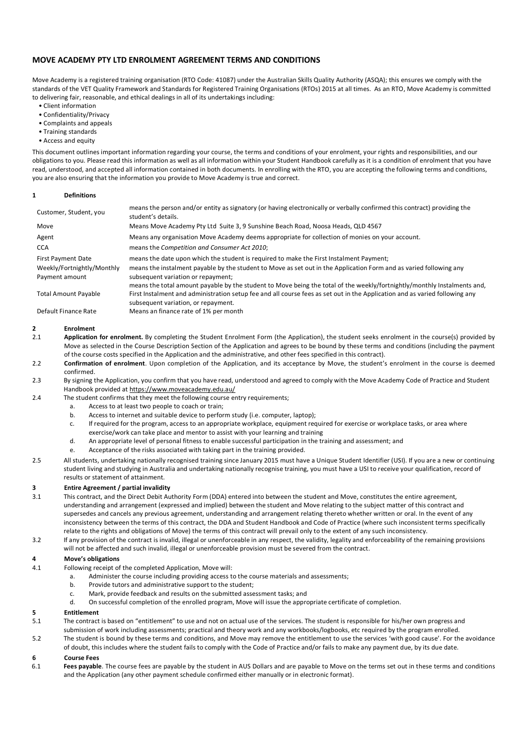# **MOVE ACADEMY PTY LTD ENROLMENT AGREEMENT TERMS AND CONDITIONS**

Move Academy is a registered training organisation (RTO Code: 41087) under the Australian Skills Quality Authority (ASQA); this ensures we comply with the standards of the VET Quality Framework and Standards for Registered Training Organisations (RTOs) 2015 at all times. As an RTO, Move Academy is committed to delivering fair, reasonable, and ethical dealings in all of its undertakings including:

- Client information
- Confidentiality/Privacy
- Complaints and appeals
- Training standards
- Access and equity

This document outlines important information regarding your course, the terms and conditions of your enrolment, your rights and responsibilities, and our obligations to you. Please read this information as well as all information within your Student Handbook carefully as it is a condition of enrolment that you have read, understood, and accepted all information contained in both documents. In enrolling with the RTO, you are accepting the following terms and conditions, you are also ensuring that the information you provide to Move Academy is true and correct.

### **1 Definitions**

| Customer, Student, you                       | means the person and/or entity as signatory (or having electronically or verbally confirmed this contract) providing the<br>student's details.                                                                                                                                       |
|----------------------------------------------|--------------------------------------------------------------------------------------------------------------------------------------------------------------------------------------------------------------------------------------------------------------------------------------|
| Move                                         | Means Move Academy Pty Ltd Suite 3, 9 Sunshine Beach Road, Noosa Heads, QLD 4567                                                                                                                                                                                                     |
| Agent                                        | Means any organisation Move Academy deems appropriate for collection of monies on your account.                                                                                                                                                                                      |
| <b>CCA</b>                                   | means the Competition and Consumer Act 2010;                                                                                                                                                                                                                                         |
| <b>First Payment Date</b>                    | means the date upon which the student is required to make the First Instalment Payment;                                                                                                                                                                                              |
| Weekly/Fortnightly/Monthly<br>Payment amount | means the instalment payable by the student to Move as set out in the Application Form and as varied following any<br>subsequent variation or repayment;<br>means the total amount payable by the student to Move being the total of the weekly/fortnightly/monthly Instalments and, |
| <b>Total Amount Payable</b>                  | First Instalment and administration setup fee and all course fees as set out in the Application and as varied following any<br>subsequent variation, or repayment.                                                                                                                   |
| Default Finance Rate                         | Means an finance rate of 1% per month                                                                                                                                                                                                                                                |

### **2 Enrolment**

- 2.1 **Application for enrolment.** By completing the Student Enrolment Form (the Application), the student seeks enrolment in the course(s) provided by Move as selected in the Course Description Section of the Application and agrees to be bound by these terms and conditions (including the payment of the course costs specified in the Application and the administrative, and other fees specified in this contract).
- 2.2 **Confirmation of enrolment**. Upon completion of the Application, and its acceptance by Move, the student's enrolment in the course is deemed confirmed.
- 2.3 By signing the Application, you confirm that you have read, understood and agreed to comply with the Move Academy Code of Practice and Student Handbook provided at https://www.moveacademy.edu.au/
- 2.4 The student confirms that they meet the following course entry requirements;
	- a. Access to at least two people to coach or train;
	- b. Access to internet and suitable device to perform study (i.e. computer, laptop);
	- c. If required for the program, access to an appropriate workplace, equipment required for exercise or workplace tasks, or area where exercise/work can take place and mentor to assist with your learning and training
	- d. An appropriate level of personal fitness to enable successful participation in the training and assessment; and
	- e. Acceptance of the risks associated with taking part in the training provided.
- 2.5 All students, undertaking nationally recognised training since January 2015 must have a Unique Student Identifier (USI). If you are a new or continuing student living and studying in Australia and undertaking nationally recognise training, you must have a USI to receive your qualification, record of results or statement of attainment.

### **3 Entire Agreement / partial invalidity**

- 3.1 This contract, and the Direct Debit Authority Form (DDA) entered into between the student and Move, constitutes the entire agreement, understanding and arrangement (expressed and implied) between the student and Move relating to the subject matter of this contract and supersedes and cancels any previous agreement, understanding and arrangement relating thereto whether written or oral. In the event of any inconsistency between the terms of this contract, the DDA and Student Handbook and Code of Practice (where such inconsistent terms specifically relate to the rights and obligations of Move) the terms of this contract will prevail only to the extent of any such inconsistency.
- 3.2 If any provision of the contract is invalid, illegal or unenforceable in any respect, the validity, legality and enforceability of the remaining provisions will not be affected and such invalid, illegal or unenforceable provision must be severed from the contract.

### **4 Move's obligations**

- 4.1 Following receipt of the completed Application, Move will:
	- a. Administer the course including providing access to the course materials and assessments;
	- b. Provide tutors and administrative support to the student;
	- c. Mark, provide feedback and results on the submitted assessment tasks; and
	- d. On successful completion of the enrolled program, Move will issue the appropriate certificate of completion.

### **5 Entitlement**

- 5.1 The contract is based on "entitlement" to use and not on actual use of the services. The student is responsible for his/her own progress and submission of work including assessments; practical and theory work and any workbooks/logbooks, etc required by the program enrolled.
- 5.2 The student is bound by these terms and conditions, and Move may remove the entitlement to use the services 'with good cause'. For the avoidance of doubt, this includes where the student fails to comply with the Code of Practice and/or fails to make any payment due, by its due date.

### **6 Course Fees**

6.1 **Fees payable**. The course fees are payable by the student in AUS Dollars and are payable to Move on the terms set out in these terms and conditions and the Application (any other payment schedule confirmed either manually or in electronic format).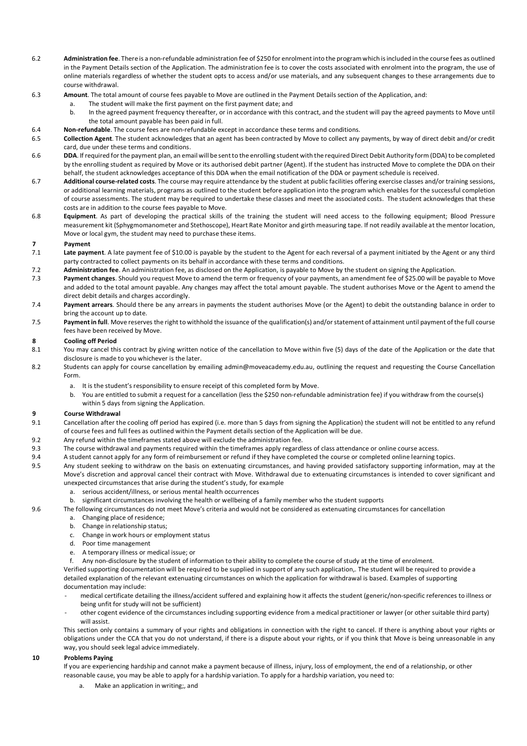- 6.2 **Administration fee**. There is a non-refundable administration fee of \$250 for enrolment into the program which is included in the course fees as outlined in the Payment Details section of the Application. The administration fee is to cover the costs associated with enrolment into the program, the use of online materials regardless of whether the student opts to access and/or use materials, and any subsequent changes to these arrangements due to course withdrawal.
- 6.3 **Amount**. The total amount of course fees payable to Move are outlined in the Payment Details section of the Application, and:
	- a. The student will make the first payment on the first payment date; and
		- b. In the agreed payment frequency thereafter, or in accordance with this contract, and the student will pay the agreed payments to Move until the total amount payable has been paid in full.
- 6.4 **Non-refundable**. The course fees are non-refundable except in accordance these terms and conditions.
- 6.5 **Collection Agent**. The student acknowledges that an agent has been contracted by Move to collect any payments, by way of direct debit and/or credit card, due under these terms and conditions.
- 6.6 **DDA**. If required for the payment plan, an email will be sent to the enrolling student with the required Direct Debit Authority form (DDA) to be completed by the enrolling student as required by Move or its authorised debit partner (Agent). If the student has instructed Move to complete the DDA on their behalf, the student acknowledges acceptance of this DDA when the email notification of the DDA or payment schedule is received.
- 6.7 **Additional course-related costs**. The course may require attendance by the student at public facilities offering exercise classes and/or training sessions, or additional learning materials, programs as outlined to the student before application into the program which enables for the successful completion of course assessments. The student may be required to undertake these classes and meet the associated costs. The student acknowledges that these costs are in addition to the course fees payable to Move.
- 6.8 **Equipment**. As part of developing the practical skills of the training the student will need access to the following equipment; Blood Pressure measurement kit (Sphygmomanometer and Stethoscope), Heart Rate Monitor and girth measuring tape. If not readily available at the mentor location, Move or local gym, the student may need to purchase these items.

### **7 Payment**

- 7.1 **Late payment**. A late payment fee of \$10.00 is payable by the student to the Agent for each reversal of a payment initiated by the Agent or any third party contracted to collect payments on its behalf in accordance with these terms and conditions.
- 7.2 **Administration fee**. An administration fee, as disclosed on the Application, is payable to Move by the student on signing the Application.
- 7.3 **Payment changes**. Should you request Move to amend the term or frequency of your payments, an amendment fee of \$25.00 will be payable to Move and added to the total amount payable. Any changes may affect the total amount payable. The student authorises Move or the Agent to amend the direct debit details and charges accordingly.
- 7.4 **Payment arrears**. Should there be any arrears in payments the student authorises Move (or the Agent) to debit the outstanding balance in order to bring the account up to date.
- 7.5 Payment in full. Move reserves the right to withhold the issuance of the qualification(s) and/or statement of attainment until payment of the full course fees have been received by Move.

## **8 Cooling off Period**

- 8.1 You may cancel this contract by giving written notice of the cancellation to Move within five (5) days of the date of the Application or the date that disclosure is made to you whichever is the later.
- 8.2 Students can apply for course cancellation by emailing admin@moveacademy.edu.au, outlining the request and requesting the Course Cancellation Form.
	- a. It is the student's responsibility to ensure receipt of this completed form by Move.
	- b. You are entitled to submit a request for a cancellation (less the \$250 non-refundable administration fee) if you withdraw from the course(s) within 5 days from signing the Application.

### **9 Course Withdrawal**

- 9.1 Cancellation after the cooling off period has expired (i.e. more than 5 days from signing the Application) the student will not be entitled to any refund of course fees and full fees as outlined within the Payment details section of the Application will be due.
- 9.2 Any refund within the timeframes stated above will exclude the administration fee.
- 9.3 The course withdrawal and payments required within the timeframes apply regardless of class attendance or online course access.
- 9.4 A student cannot apply for any form of reimbursement or refund if they have completed the course or completed online learning topics.
- 9.5 Any student seeking to withdraw on the basis on extenuating circumstances, and having provided satisfactory supporting information, may at the Move's discretion and approval cancel their contract with Move. Withdrawal due to extenuating circumstances is intended to cover significant and unexpected circumstances that arise during the student's study, for example
	- a. serious accident/illness, or serious mental health occurrences
	- b. significant circumstances involving the health or wellbeing of a family member who the student supports
- 9.6 The following circumstances do not meet Move's criteria and would not be considered as extenuating circumstances for cancellation
	- a. Changing place of residence;
	- b. Change in relationship status;
	- c. Change in work hours or employment status
	- d. Poor time management
	- e. A temporary illness or medical issue; or
	- f. Any non-disclosure by the student of information to their ability to complete the course of study at the time of enrolment.

Verified supporting documentation will be required to be supplied in support of any such application,. The student will be required to provide a detailed explanation of the relevant extenuating circumstances on which the application for withdrawal is based. Examples of supporting documentation may include:

- medical certificate detailing the illness/accident suffered and explaining how it affects the student (generic/non-specific references to illness or being unfit for study will not be sufficient)
- other cogent evidence of the circumstances including supporting evidence from a medical practitioner or lawyer (or other suitable third party) will assist.

This section only contains a summary of your rights and obligations in connection with the right to cancel. If there is anything about your rights or obligations under the CCA that you do not understand, if there is a dispute about your rights, or if you think that Move is being unreasonable in any way, you should seek legal advice immediately.

### **10 Problems Paying**

If you are experiencing hardship and cannot make a payment because of illness, injury, loss of employment, the end of a relationship, or other reasonable cause, you may be able to apply for a hardship variation. To apply for a hardship variation, you need to:

a. Make an application in writing;, and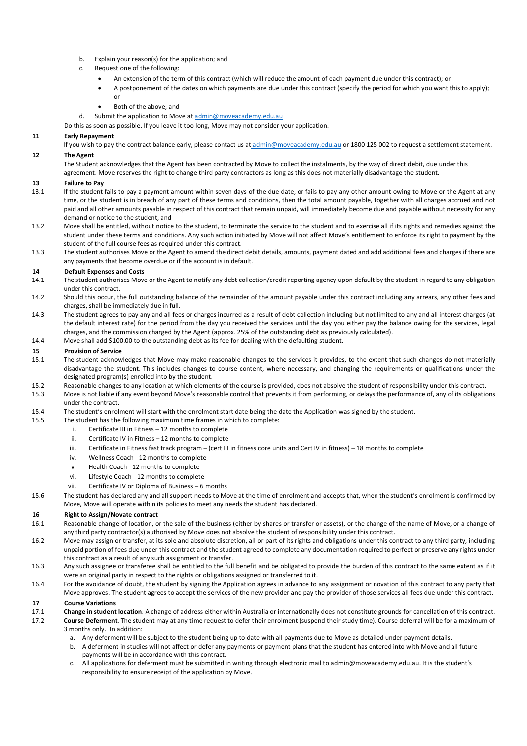- b. Explain your reason(s) for the application; and
- c. Request one of the following:
	- An extension of the term of this contract (which will reduce the amount of each payment due under this contract); or
	- A postponement of the dates on which payments are due under this contract (specify the period for which you want this to apply); or
	- Both of the above; and
- d. Submit the application to Move at admin@moveacademy.edu.au
- Do this as soon as possible. If you leave it too long, Move may not consider your application.

## **11 Early Repayment**

- If you wish to pay the contract balance early, please contact us at admin@moveacademy.edu.au or 1800 125 002 to request a settlement statement. **12 The Agent**
	- The Student acknowledges that the Agent has been contracted by Move to collect the instalments, by the way of direct debit, due under this
		- agreement. Move reserves the right to change third party contractors as long as this does not materially disadvantage the student.

## **13 Failure to Pay**

- 13.1 If the student fails to pay a payment amount within seven days of the due date, or fails to pay any other amount owing to Move or the Agent at any time, or the student is in breach of any part of these terms and conditions, then the total amount payable, together with all charges accrued and not paid and all other amounts payable in respect of this contract that remain unpaid, will immediately become due and payable without necessity for any demand or notice to the student, and
- 13.2 Move shall be entitled, without notice to the student, to terminate the service to the student and to exercise all if its rights and remedies against the student under these terms and conditions. Any such action initiated by Move will not affect Move's entitlement to enforce its right to payment by the student of the full course fees as required under this contract.
- 13.3 The student authorises Move or the Agent to amend the direct debit details, amounts, payment dated and add additional fees and charges if there are any payments that become overdue or if the account is in default.

## **14 Default Expenses and Costs**

- 14.1 The student authorises Move or the Agent to notify any debt collection/credit reporting agency upon default by the student in regard to any obligation under this contract.
- 14.2 Should this occur, the full outstanding balance of the remainder of the amount payable under this contract including any arrears, any other fees and charges, shall be immediately due in full.
- 14.3 The student agrees to pay any and all fees or charges incurred as a result of debt collection including but not limited to any and all interest charges (at the default interest rate) for the period from the day you received the services until the day you either pay the balance owing for the services, legal charges, and the commission charged by the Agent (approx. 25% of the outstanding debt as previously calculated).
- 14.4 Move shall add \$100.00 to the outstanding debt as its fee for dealing with the defaulting student.

## **15 Provision of Service**

- 15.1 The student acknowledges that Move may make reasonable changes to the services it provides, to the extent that such changes do not materially disadvantage the student. This includes changes to course content, where necessary, and changing the requirements or qualifications under the designated program(s) enrolled into by the student.
- 15.2 Reasonable changes to any location at which elements of the course is provided, does not absolve the student of responsibility under this contract.
- 15.3 Move is not liable if any event beyond Move's reasonable control that prevents it from performing, or delays the performance of, any of its obligations under the contract.
- 15.4 The student's enrolment will start with the enrolment start date being the date the Application was signed by the student.
- 15.5 The student has the following maximum time frames in which to complete:
	- i. Certificate III in Fitness 12 months to complete
	- ii. Certificate IV in Fitness 12 months to complete
	- iii. Certificate in Fitness fast track program (cert III in fitness core units and Cert IV in fitness) 18 months to complete
	- iv. Wellness Coach 12 months to complete
	- v. Health Coach 12 months to complete
	- vi. Lifestyle Coach 12 months to complete
	- vii. Certificate IV or Diploma of Business 6 months
- 15.6 The student has declared any and all support needs to Move at the time of enrolment and accepts that, when the student's enrolment is confirmed by Move, Move will operate within its policies to meet any needs the student has declared.

## **16 Right to Assign/Novate contract**

- 16.1 Reasonable change of location, or the sale of the business (either by shares or transfer or assets), or the change of the name of Move, or a change of any third party contractor(s) authorised by Move does not absolve the student of responsibility under this contract.
- 16.2 Move may assign or transfer, at its sole and absolute discretion, all or part of its rights and obligations under this contract to any third party, including unpaid portion of fees due under this contract and the student agreed to complete any documentation required to perfect or preserve any rights under this contract as a result of any such assignment or transfer.
- 16.3 Any such assignee or transferee shall be entitled to the full benefit and be obligated to provide the burden of this contract to the same extent as if it were an original party in respect to the rights or obligations assigned or transferred to it.
- 16.4 For the avoidance of doubt, the student by signing the Application agrees in advance to any assignment or novation of this contract to any party that Move approves. The student agrees to accept the services of the new provider and pay the provider of those services all fees due under this contract.
- **17 Course Variations**
- 17.1 **Change in student location**. A change of address either within Australia or internationally does not constitute grounds for cancellation of this contract.
- 17.2 **Course Deferment**. The student may at any time request to defer their enrolment (suspend their study time). Course deferral will be for a maximum of 3 months only. In addition:
	- a. Any deferment will be subject to the student being up to date with all payments due to Move as detailed under payment details.
	- b. A deferment in studies will not affect or defer any payments or payment plans that the student has entered into with Move and all future payments will be in accordance with this contract.
	- c. All applications for deferment must be submitted in writing through electronic mail to admin@moveacademy.edu.au. It is the student's responsibility to ensure receipt of the application by Move.